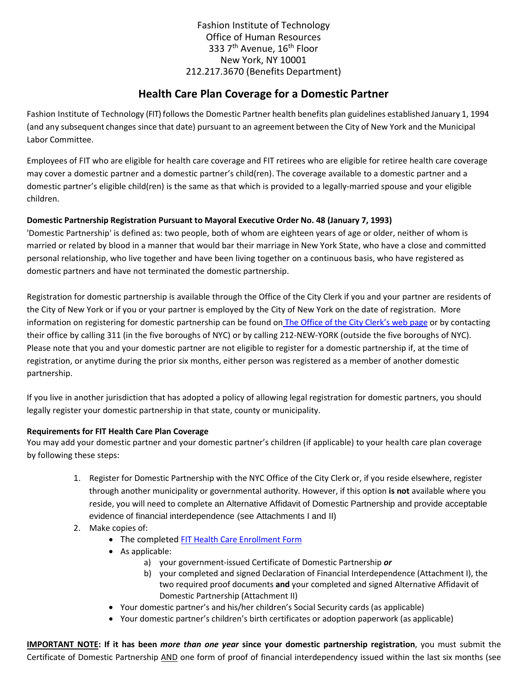Fashion Institute of Technology Office of Human Resources 333 7<sup>th</sup> Avenue, 16<sup>th</sup> Floor New York, NY 10001 212.217.3670 (Benefits Department)

# **Health Care Plan Coverage for a Domestic Partner**

Fashion Institute of Technology (FIT) follows the Domestic Partner health benefits plan guidelines established January 1, 1994 (and any subsequent changes since that date) pursuant to an agreement between the City of New York and the Municipal Labor Committee.

Employees of FIT who are eligible for health care coverage and FIT retirees who are eligible for retiree health care coverage may cover a domestic partner and a domestic partner's child(ren). The coverage available to a domestic partner and a domestic partner's eligible child(ren) is the same as that which is provided to a legally-married spouse and your eligible children.

## **Domestic Partnership Registration Pursuant to Mayoral Executive Order No. 48 (January 7, 1993)**

'Domestic Partnership' is defined as: two people, both of whom are eighteen years of age or older, neither of whom is married or related by blood in a manner that would bar their marriage in New York State, who have a close and committed personal relationship, who live together and have been living together on a continuous basis, who have registered as domestic partners and have not terminated the domestic partnership.

Registration for domestic partnership is available through the Office of the City Clerk if you and your partner are residents of the City of New York or if you or your partner is employed by the City of New York on the date of registration. More information on registering for domestic partnership can be found on [The Office of the City Clerk's web](http://www.cityclerk.nyc.gov/html/marriage/domestic_partnership_reg.shtml) page or by contacting their office by calling 311 (in the five boroughs of NYC) or by calling 212-NEW-YORK (outside the five boroughs of NYC). Please note that you and your domestic partner are not eligible to register for a domestic partnership if, at the time of registration, or anytime during the prior six months, either person was registered as a member of another domestic partnership.

If you live in another jurisdiction that has adopted a policy of allowing legal registration for domestic partners, you should legally register your domestic partnership in that state, county or municipality.

## **Requirements for FIT Health Care Plan Coverage**

You may add your domestic partner and your domestic partner's children (if applicable) to your health care plan coverage by following these steps:

- 1. Register for Domestic Partnership with the NYC Office of the City Clerk or, if you reside elsewhere, register through another municipality or governmental authority. However, if this option **is not** available where you reside, you will need to complete an Alternative Affidavit of Domestic Partnership and provide acceptable evidence of financial interdependence (see Attachments I and II)
- 2. Make copies of:
	- The complete[d FIT Health Care Enrollment](http://www.fitnyc.edu/documents/hr/benefits-health-care-enrollment-form.pdf) Form
	- As applicable:
		- a) your government-issued Certificate of Domestic Partnership *or*
		- b) your completed and signed Declaration of Financial Interdependence (Attachment I), the two required proof documents **and** your completed and signed Alternative Affidavit of Domestic Partnership (Attachment II)
	- Your domestic partner's and his/her children's Social Security cards (as applicable)
	- Your domestic partner's children's birth certificates or adoption paperwork (as applicable)

**IMPORTANT NOTE: If it has been** *more than one year* **since your domestic partnership registration**, you must submit the Certificate of Domestic Partnership AND one form of proof of financial interdependency issued within the last six months (see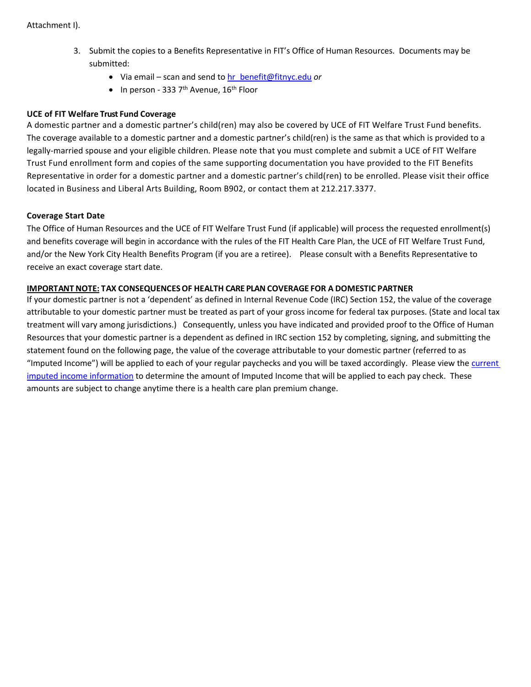- 3. Submit the copies to a Benefits Representative in FIT's Office of Human Resources. Documents may be submitted:
	- Via email scan and send to [hr\\_benefit@fitnyc.edu](mailto:hr_benefit@fitnyc.edu) *or*
	- In person 333  $7<sup>th</sup>$  Avenue, 16<sup>th</sup> Floor

#### **UCE of FIT Welfare Trust Fund Coverage**

A domestic partner and a domestic partner's child(ren) may also be covered by UCE of FIT Welfare Trust Fund benefits. The coverage available to a domestic partner and a domestic partner's child(ren) is the same as that which is provided to a legally-married spouse and your eligible children. Please note that you must complete and submit a UCE of FIT Welfare Trust Fund enrollment form and copies of the same supporting documentation you have provided to the FIT Benefits Representative in order for a domestic partner and a domestic partner's child(ren) to be enrolled. Please visit their office located in Business and Liberal Arts Building, Room B902, or contact them at 212.217.3377.

#### **Coverage Start Date**

The Office of Human Resources and the UCE of FIT Welfare Trust Fund (if applicable) will process the requested enrollment(s) and benefits coverage will begin in accordance with the rules of the FIT Health Care Plan, the UCE of FIT Welfare Trust Fund, and/or the New York City Health Benefits Program (if you are a retiree). Please consult with a Benefits Representative to receive an exact coverage start date.

#### **IMPORTANT NOTE: TAX CONSEQUENCESOF HEALTH CARE PLAN COVERAGE FOR A DOMESTIC PARTNER**

If your domestic partner is not a 'dependent' as defined in Internal Revenue Code (IRC) Section 152, the value of the coverage attributable to your domestic partner must be treated as part of your gross income for federal tax purposes. (State and local tax treatment will vary among jurisdictions.) Consequently, unless you have indicated and provided proof to the Office of Human Resources that your domestic partner is a dependent as defined in IRC section 152 by completing, signing, and submitting the statement found on the following page, the value of the coverage attributable to your domestic partner (referred to as "Imputed Income") will be applied to each of your regular paychecks and you will be taxed accordingly. Please view the [current](http://www.fitnyc.edu/documents/hr/benefits-taxation-applied-for-dp-covg.pdf)  [imputed income information](http://www.fitnyc.edu/documents/hr/benefits-taxation-applied-for-dp-covg.pdf) to determine the amount of Imputed Income that will be applied to each pay check. These amounts are subject to change anytime there is a health care plan premium change.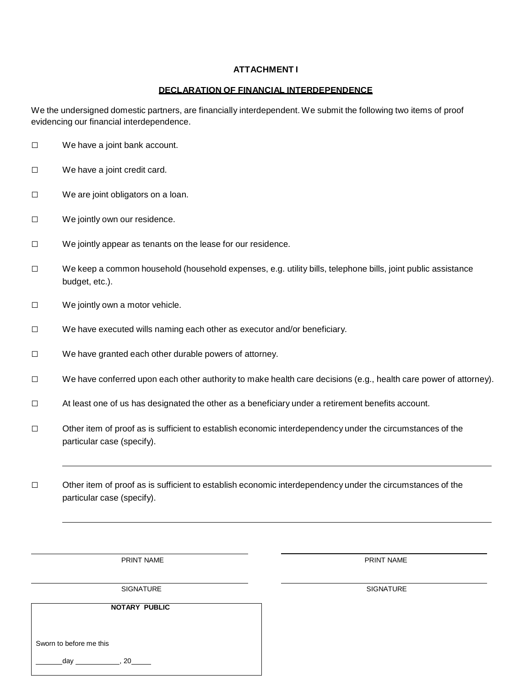#### **ATTACHMENT I**

#### **DECLARATION OF FINANCIAL INTERDEPENDENCE**

We the undersigned domestic partners, are financially interdependent. We submit the following two items of proof evidencing our financial interdependence.

- □ We have a joint bank account.
- □ We have a joint credit card.
- □ We are joint obligators on a loan.
- □ We jointly own our residence.
- □ We jointly appear as tenants on the lease for our residence.
- □ We keep a common household (household expenses, e.g. utility bills, telephone bills, joint public assistance budget, etc.).
- □ We jointly own a motor vehicle.
- □ We have executed wills naming each other as executor and/or beneficiary.
- □ We have granted each other durable powers of attorney.
- □ We have conferred upon each other authority to make health care decisions (e.g., health care power of attorney).
- □ At least one of us has designated the other as a beneficiary under a retirement benefits account.
- □ Other item of proof as is sufficient to establish economic interdependency under the circumstances of the particular case (specify).
- □ Other item of proof as is sufficient to establish economic interdependency under the circumstances of the particular case (specify).

PRINT NAME PRINT NAME

SIGNATURE SIGNATURE SIGNATURE SIGNATURE SIGNATURE SIGNATURE SIGNATURE SIGNATURE SIGNATURE SIGNATURE SIGNATURE SIGNATURE SIGNATURE SIGNATURE SIGNATURE SIGNATURE SIGNATURE SIGNATURE SIGNATURE SIGNATURE SIGNATURE SIGNATURE SI

**NOTARY PUBLIC**

Sworn to before me this

day \_\_\_\_\_\_\_\_\_\_\_\_\_\_\_, 20\_\_\_\_\_\_\_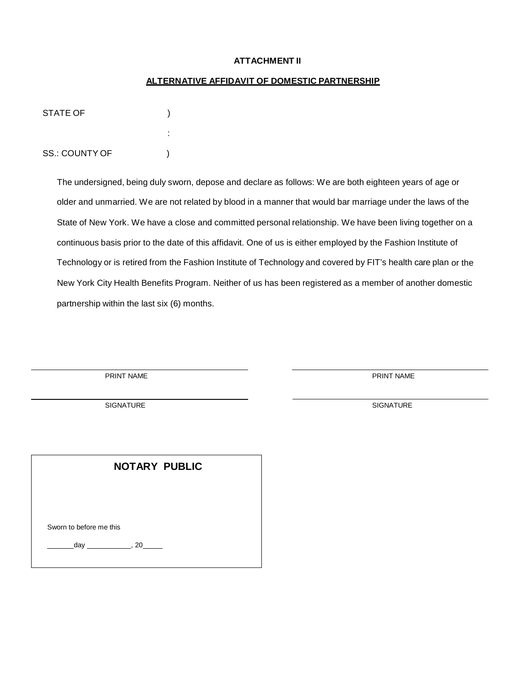#### **ATTACHMENT II**

#### **ALTERNATIVE AFFIDAVIT OF DOMESTIC PARTNERSHIP**

| STATE OF              |        |  |
|-----------------------|--------|--|
|                       | ٠<br>٠ |  |
| <b>SS.: COUNTY OF</b> |        |  |

The undersigned, being duly sworn, depose and declare as follows: We are both eighteen years of age or older and unmarried. We are not related by blood in a manner that would bar marriage under the laws of the State of New York. We have a close and committed personal relationship. We have been living together on a continuous basis prior to the date of this affidavit. One of us is either employed by the Fashion Institute of Technology or is retired from the Fashion Institute of Technology and covered by FIT's health care plan or the New York City Health Benefits Program. Neither of us has been registered as a member of another domestic partnership within the last six (6) months.

PRINT NAME PRINT NAME

SIGNATURE SIGNATURE SERVICES IN THE SERVICE OF SALES AND SALES SANDWARE SERVICES IN THE SALES OF SALES AND SALES AND SALES AND SALES AND SALES AND SALES AND SALES AND SALES AND SALES AND SALES AND SALES AND SALES AND SALES

| <b>NOTARY PUBLIC</b> |                         |            |  |
|----------------------|-------------------------|------------|--|
|                      |                         |            |  |
|                      | Sworn to before me this |            |  |
|                      |                         | $day$ , 20 |  |
|                      |                         |            |  |